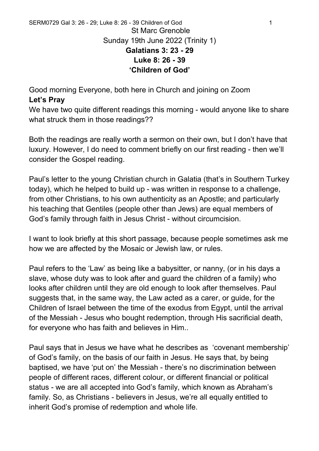Good morning Everyone, both here in Church and joining on Zoom **Let's Pray**

We have two quite different readings this morning - would anyone like to share what struck them in those readings??

Both the readings are really worth a sermon on their own, but I don't have that luxury. However, I do need to comment briefly on our first reading - then we'll consider the Gospel reading.

Paul's letter to the young Christian church in Galatia (that's in Southern Turkey today), which he helped to build up - was written in response to a challenge, from other Christians, to his own authenticity as an Apostle; and particularly his teaching that Gentiles (people other than Jews) are equal members of God's family through faith in Jesus Christ - without circumcision.

I want to look briefly at this short passage, because people sometimes ask me how we are affected by the Mosaic or Jewish law, or rules.

Paul refers to the 'Law' as being like a babysitter, or nanny, (or in his days a slave, whose duty was to look after and guard the children of a family) who looks after children until they are old enough to look after themselves. Paul suggests that, in the same way, the Law acted as a carer, or guide, for the Children of Israel between the time of the exodus from Egypt, until the arrival of the Messiah - Jesus who bought redemption, through His sacrificial death, for everyone who has faith and believes in Him..

Paul says that in Jesus we have what he describes as 'covenant membership' of God's family, on the basis of our faith in Jesus. He says that, by being baptised, we have 'put on' the Messiah - there's no discrimination between people of different races, different colour, or different financial or political status - we are all accepted into God's family, which known as Abraham's family. So, as Christians - believers in Jesus, we're all equally entitled to inherit God's promise of redemption and whole life.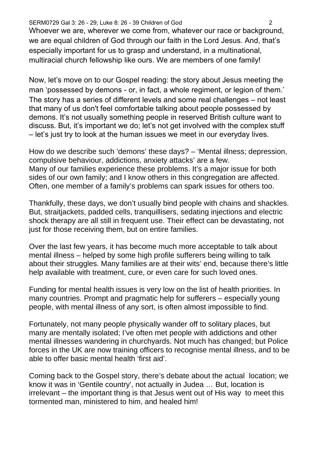## SERM0729 Gal 3: 26 - 29; Luke 8: 26 - 39 Children of God 2

Whoever we are, wherever we come from, whatever our race or background, we are equal children of God through our faith in the Lord Jesus. And, that's especially important for us to grasp and understand, in a multinational, multiracial church fellowship like ours. We are members of one family!

Now, let's move on to our Gospel reading: the story about Jesus meeting the man 'possessed by demons - or, in fact, a whole regiment, or legion of them.' The story has a series of different levels and some real challenges – not least that many of us don't feel comfortable talking about people possessed by demons. It's not usually something people in reserved British culture want to discuss. But, it's important we do; let's not get involved with the complex stuff – let's just try to look at the human issues we meet in our everyday lives.

How do we describe such 'demons' these days? – 'Mental illness; depression, compulsive behaviour, addictions, anxiety attacks' are a few. Many of our families experience these problems. It's a major issue for both sides of our own family; and I know others in this congregation are affected. Often, one member of a family's problems can spark issues for others too.

Thankfully, these days, we don't usually bind people with chains and shackles. But, straitjackets, padded cells, tranquillisers, sedating injections and electric shock therapy are all still in frequent use. Their effect can be devastating, not just for those receiving them, but on entire families.

Over the last few years, it has become much more acceptable to talk about mental illness – helped by some high profile sufferers being willing to talk about their struggles. Many families are at their wits' end, because there's little help available with treatment, cure, or even care for such loved ones.

Funding for mental health issues is very low on the list of health priorities. In many countries. Prompt and pragmatic help for sufferers – especially young people, with mental illness of any sort, is often almost impossible to find.

Fortunately, not many people physically wander off to solitary places, but many are mentally isolated; I've often met people with addictions and other mental illnesses wandering in churchyards. Not much has changed; but Police forces in the UK are now training officers to recognise mental illness, and to be able to offer basic mental health 'first aid'.

Coming back to the Gospel story, there's debate about the actual location; we know it was in 'Gentile country', not actually in Judea … But, location is irrelevant – the important thing is that Jesus went out of His way to meet this tormented man, ministered to him, and healed him!